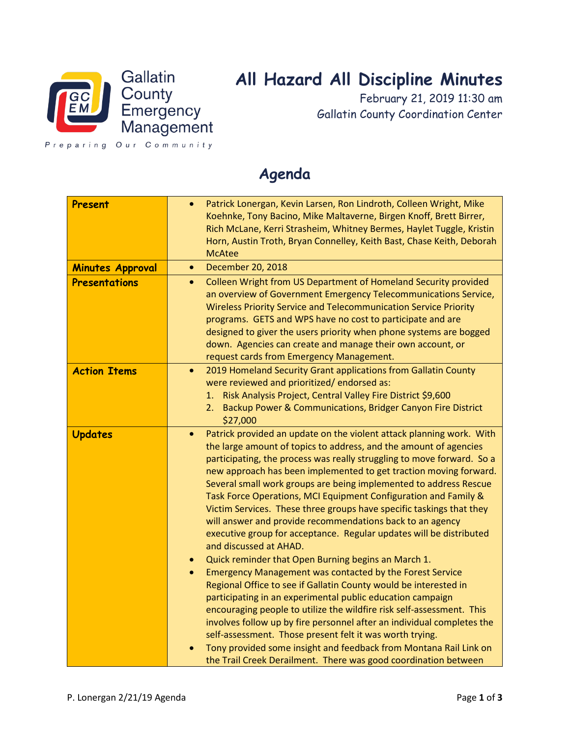

# **All Hazard All Discipline Minutes**

February 21, 2019 11:30 am Gallatin County Coordination Center

Preparing Our Community

# **Agenda**

| Present                 | Patrick Lonergan, Kevin Larsen, Ron Lindroth, Colleen Wright, Mike<br>$\bullet$<br>Koehnke, Tony Bacino, Mike Maltaverne, Birgen Knoff, Brett Birrer,<br>Rich McLane, Kerri Strasheim, Whitney Bermes, Haylet Tuggle, Kristin<br>Horn, Austin Troth, Bryan Connelley, Keith Bast, Chase Keith, Deborah<br><b>McAtee</b>                                                                                                                                                                                                                                                                                                                                                                                                                                                                                                                                                                                                                                                                                                                                                                                                                                                                                                                                                                                                          |
|-------------------------|----------------------------------------------------------------------------------------------------------------------------------------------------------------------------------------------------------------------------------------------------------------------------------------------------------------------------------------------------------------------------------------------------------------------------------------------------------------------------------------------------------------------------------------------------------------------------------------------------------------------------------------------------------------------------------------------------------------------------------------------------------------------------------------------------------------------------------------------------------------------------------------------------------------------------------------------------------------------------------------------------------------------------------------------------------------------------------------------------------------------------------------------------------------------------------------------------------------------------------------------------------------------------------------------------------------------------------|
| <b>Minutes Approval</b> | December 20, 2018<br>$\bullet$                                                                                                                                                                                                                                                                                                                                                                                                                                                                                                                                                                                                                                                                                                                                                                                                                                                                                                                                                                                                                                                                                                                                                                                                                                                                                                   |
| <b>Presentations</b>    | Colleen Wright from US Department of Homeland Security provided<br>$\bullet$<br>an overview of Government Emergency Telecommunications Service,<br><b>Wireless Priority Service and Telecommunication Service Priority</b><br>programs. GETS and WPS have no cost to participate and are<br>designed to giver the users priority when phone systems are bogged<br>down. Agencies can create and manage their own account, or<br>request cards from Emergency Management.                                                                                                                                                                                                                                                                                                                                                                                                                                                                                                                                                                                                                                                                                                                                                                                                                                                         |
| <b>Action Items</b>     | 2019 Homeland Security Grant applications from Gallatin County<br>$\bullet$<br>were reviewed and prioritized/endorsed as:<br>Risk Analysis Project, Central Valley Fire District \$9,600<br>1.<br>Backup Power & Communications, Bridger Canyon Fire District<br>2.<br>\$27,000                                                                                                                                                                                                                                                                                                                                                                                                                                                                                                                                                                                                                                                                                                                                                                                                                                                                                                                                                                                                                                                  |
| <b>Updates</b>          | Patrick provided an update on the violent attack planning work. With<br>$\bullet$<br>the large amount of topics to address, and the amount of agencies<br>participating, the process was really struggling to move forward. So a<br>new approach has been implemented to get traction moving forward.<br>Several small work groups are being implemented to address Rescue<br>Task Force Operations, MCI Equipment Configuration and Family &<br>Victim Services. These three groups have specific taskings that they<br>will answer and provide recommendations back to an agency<br>executive group for acceptance. Regular updates will be distributed<br>and discussed at AHAD.<br>Quick reminder that Open Burning begins an March 1.<br>$\bullet$<br><b>Emergency Management was contacted by the Forest Service</b><br>$\bullet$<br>Regional Office to see if Gallatin County would be interested in<br>participating in an experimental public education campaign<br>encouraging people to utilize the wildfire risk self-assessment. This<br>involves follow up by fire personnel after an individual completes the<br>self-assessment. Those present felt it was worth trying.<br>Tony provided some insight and feedback from Montana Rail Link on<br>the Trail Creek Derailment. There was good coordination between |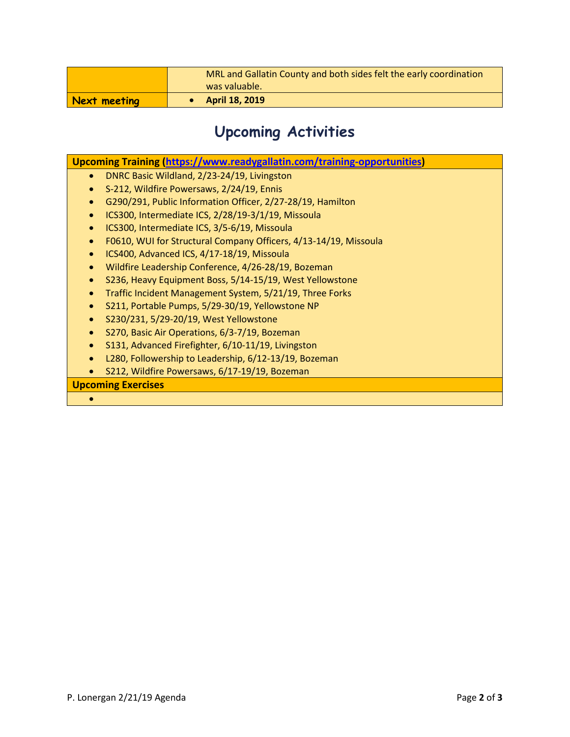|              | MRL and Gallatin County and both sides felt the early coordination<br>was valuable. |
|--------------|-------------------------------------------------------------------------------------|
| Next meeting | <b>April 18, 2019</b>                                                               |

# **Upcoming Activities**

| Upcoming Training (https://www.readygallatin.com/training-opportunities)      |  |  |
|-------------------------------------------------------------------------------|--|--|
| DNRC Basic Wildland, 2/23-24/19, Livingston<br>$\bullet$                      |  |  |
| S-212, Wildfire Powersaws, 2/24/19, Ennis                                     |  |  |
| G290/291, Public Information Officer, 2/27-28/19, Hamilton                    |  |  |
| ICS300, Intermediate ICS, 2/28/19-3/1/19, Missoula<br>$\bullet$               |  |  |
| ICS300, Intermediate ICS, 3/5-6/19, Missoula<br>$\bullet$                     |  |  |
| F0610, WUI for Structural Company Officers, 4/13-14/19, Missoula<br>$\bullet$ |  |  |
| ICS400, Advanced ICS, 4/17-18/19, Missoula<br>$\bullet$                       |  |  |
| Wildfire Leadership Conference, 4/26-28/19, Bozeman<br>$\bullet$              |  |  |
| S236, Heavy Equipment Boss, 5/14-15/19, West Yellowstone<br>$\bullet$         |  |  |
| Traffic Incident Management System, 5/21/19, Three Forks<br>$\bullet$         |  |  |
| S211, Portable Pumps, 5/29-30/19, Yellowstone NP<br>$\bullet$                 |  |  |
| S230/231, 5/29-20/19, West Yellowstone<br>$\bullet$                           |  |  |
| S270, Basic Air Operations, 6/3-7/19, Bozeman<br>$\bullet$                    |  |  |
| S131, Advanced Firefighter, 6/10-11/19, Livingston<br>$\bullet$               |  |  |
| L280, Followership to Leadership, 6/12-13/19, Bozeman<br>$\bullet$            |  |  |
| S212, Wildfire Powersaws, 6/17-19/19, Bozeman                                 |  |  |
| <b>Upcoming Exercises</b>                                                     |  |  |
|                                                                               |  |  |